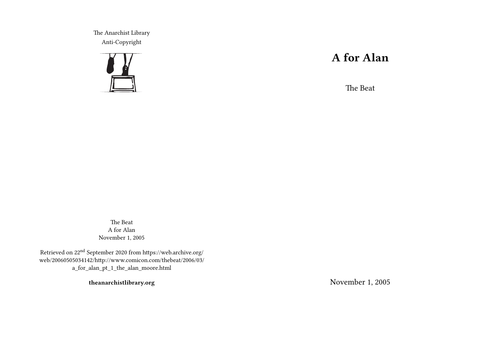The Anarchist Library Anti-Copyright



# **A for Alan**

The Beat

The Beat A for Alan November 1, 2005

Retrieved on 22nd September 2020 from https://web.archive.org/ web/20060505034142/http://www.comicon.com/thebeat/2006/03/ a\_for\_alan\_pt\_1\_the\_alan\_moore.html

**theanarchistlibrary.org**

November 1, 2005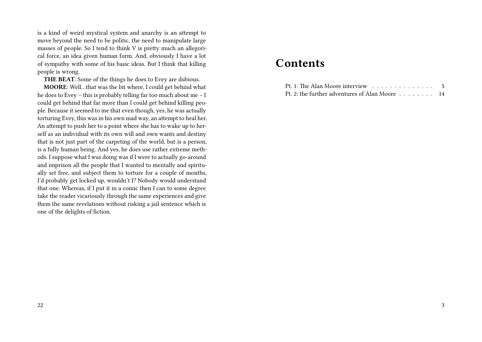is a kind of weird mystical system and anarchy is an attempt to move beyond the need to be politic, the need to manipulate large masses of people. So I tend to think V is pretty much an allegorical force, an idea given human form. And, obviously I have a lot of sympathy with some of his basic ideas. But I think that killing people is wrong.

**THE BEAT**: Some of the things he does to Evey are dubious.

**MOORE**: Well…that was the bit where, I could get behind what he does to Evey – this is probably telling far too much about me – I could get behind that far more than I could get behind killing people. Because it seemed to me that even though, yes, he was actually torturing Evey, this was in his own mad way, an attempt to heal her. An attempt to push her to a point where she has to wake up to herself as an individual with its own will and own wants and destiny that is not just part of the carpeting of the world, but is a person, is a fully human being. And yes, he does use rather extreme methods. I suppose what I was doing was if I were to actually go-around and imprison all the people that I wanted to mentally and spiritually set free, and subject them to torture for a couple of months, I'd probably get locked up, wouldn't I? Nobody would understand that one. Whereas, if I put it in a comic then I can to some degree take the reader vicariously through the same experiences and give them the same revelations without risking a jail sentence which is one of the delights of fiction.

## **Contents**

| Pt. 2: the further adventures of Alan Moore 14 |  |
|------------------------------------------------|--|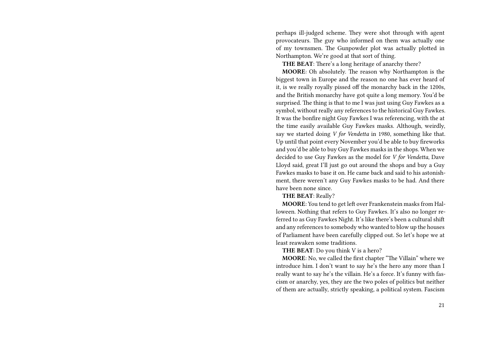perhaps ill-judged scheme. They were shot through with agent provocateurs. The guy who informed on them was actually one of my townsmen. The Gunpowder plot was actually plotted in Northampton. We're good at that sort of thing.

**THE BEAT**: There's a long heritage of anarchy there?

**MOORE**: Oh absolutely. The reason why Northampton is the biggest town in Europe and the reason no one has ever heard of it, is we really royally pissed off the monarchy back in the 1200s, and the British monarchy have got quite a long memory. You'd be surprised. The thing is that to me I was just using Guy Fawkes as a symbol, without really any references to the historical Guy Fawkes. It was the bonfire night Guy Fawkes I was referencing, with the at the time easily available Guy Fawkes masks. Although, weirdly, say we started doing *V for Vendetta* in 1980, something like that. Up until that point every November you'd be able to buy fireworks and you'd be able to buy Guy Fawkes masks in the shops. When we decided to use Guy Fawkes as the model for *V for Vendetta*, Dave Lloyd said, great I'll just go out around the shops and buy a Guy Fawkes masks to base it on. He came back and said to his astonishment, there weren't any Guy Fawkes masks to be had. And there have been none since.

#### **THE BEAT**: Really?

**MOORE**: You tend to get left over Frankenstein masks from Halloween. Nothing that refers to Guy Fawkes. It's also no longer referred to as Guy Fawkes Night. It's like there's been a cultural shift and any references to somebody who wanted to blow up the houses of Parliament have been carefully clipped out. So let's hope we at least reawaken some traditions.

**THE BEAT**: Do you think V is a hero?

**MOORE**: No, we called the first chapter "The Villain" where we introduce him. I don't want to say he's the hero any more than I really want to say he's the villain. He's a force. It's funny with fascism or anarchy, yes, they are the two poles of politics but neither of them are actually, strictly speaking, a political system. Fascism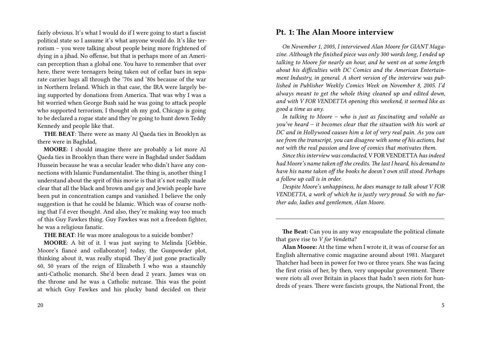fairly obvious. It's what I would do if I were going to start a fascist political state so I assume it's what anyone would do. It's like terrorism – you were talking about people being more frightened of dying in a jihad. No offense, but that is perhaps more of an American perception than a global one. You have to remember that over here, there were teenagers being taken out of cellar bars in separate carrier bags all through the '70s and '80s because of the war in Northern Ireland. Which in that case, the IRA were largely being supported by donations from America. That was why I was a bit worried when George Bush said he was going to attack people who supported terrorism, I thought oh my god, Chicago is going to be declared a rogue state and they're going to hunt down Teddy Kennedy and people like that.

**THE BEAT**: There were as many Al Qaeda ties in Brooklyn as there were in Baghdad,

**MOORE**: I should imagine there are probably a lot more Al Qaeda ties in Brooklyn than there were in Baghdad under Saddam Hussein because he was a secular leader who didn't have any connections with Islamic Fundamentalist. The thing is, another thing I understand about the sprit of this movie is that it's not really made clear that all the black and brown and gay and Jewish people have been put in concentration camps and vanished. I believe the only suggestion is that he could be Islamic. Which was of course nothing that I'd ever thought. And also, they're making way too much of this Guy Fawkes thing. Guy Fawkes was not a freedom fighter, he was a religious fanatic.

**THE BEAT**: He was more analogous to a suicide bomber?

**MOORE**: A bit of it. I was just saying to Melinda [Gebbie, Moore's fiancé and collaborator] today, the Gunpowder plot, thinking about it, was really stupid. They'd just gone practically 60, 50 years of the reign of Elizabeth I who was a staunchly anti-Catholic monarch. She'd been dead 2 years. James was on the throne and he was a Catholic nutcase. This was the point at which Guy Fawkes and his plucky band decided on their

### **Pt. 1: The Alan Moore interview**

*On November 1, 2005, I interviewed Alan Moore for GIANT Magazine. Although the finished piece was only 300 words long, I ended up talking to Moore for nearly an hour, and he went on at some length about his difficulties with DC Comics and the American Entertainment Industry, in general. A short version of the interview was published in Publisher Weekly Comics Week on November 8, 2005. I'd always meant to get the whole thing cleaned up and edited down, and with V FOR VENDETTA opening this weekend, it seemed like as good a time as any.*

*In talking to Moore – who is just as fascinating and voluble as you've heard – it becomes clear that the situation with his work at DC and in Hollywood causes him a lot of very real pain. As you can see from the transcript, you can disagree with some of his actions, but not with the real passion and love of comics that motivates them.*

*Since this interview was conducted,* V FOR VENDETTA*has indeed had Moore's name taken off the credits. The last I heard, his demand to have his name taken off the books he doesn't own still stood. Perhaps a follow up call is in order.*

*Despite Moore's unhappiness, he does manage to talk about V FOR VENDETTA, a work of which he is justly very proud. So with no further ado, ladies and gentlemen, Alan Moore.*

**The Beat:** Can you in any way encapsulate the political climate that gave rise to *V for Vendetta*?

**Alan Moore:** At the time when I wrote it, it was of course for an English alternative comic magazine around about 1981. Margaret Thatcher had been in power for two or three years. She was facing the first crisis of her, by then, very unpopular government. There were riots all over Britain in places that hadn't seen riots for hundreds of years. There were fascists groups, the National Front, the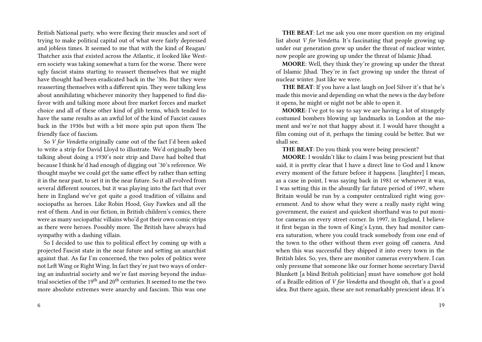British National party, who were flexing their muscles and sort of trying to make political capital out of what were fairly depressed and jobless times. It seemed to me that with the kind of Reagan/ Thatcher axis that existed across the Atlantic, it looked like Western society was taking somewhat a turn for the worse. There were ugly fascist stains starting to reassert themselves that we might have thought had been eradicated back in the '30s. But they were reasserting themselves with a different spin. They were talking less about annihilating whichever minority they happened to find disfavor with and talking more about free market forces and market choice and all of these other kind of glib terms, which tended to have the same results as an awful lot of the kind of Fascist causes back in the 1930s but with a bit more spin put upon them The friendly face of fascism.

So *V for Vendetta* originally came out of the fact I'd been asked to write a strip for David Lloyd to illustrate. We'd originally been talking about doing a 1930's noir strip and Dave had bolted that because I think he'd had enough of digging out '30's reference. We thought maybe we could get the same effect by rather than setting it in the near past, to set it in the near future. So it all evolved from several different sources, but it was playing into the fact that over here in England we've got quite a good tradition of villains and sociopaths as heroes. Like Robin Hood, Guy Fawkes and all the rest of them. And in our fiction, in British children's comics, there were as many sociopathic villains who'd got their own comic strips as there were heroes. Possibly more. The British have always had sympathy with a dashing villain.

So I decided to use this to political effect by coming up with a projected Fascist state in the near future and setting an anarchist against that. As far I'm concerned, the two poles of politics were not Left Wing or Right Wing. In fact they're just two ways of ordering an industrial society and we're fast moving beyond the industrial societies of the  $19<sup>th</sup>$  and  $20<sup>th</sup>$  centuries. It seemed to me the two more absolute extremes were anarchy and fascism. This was one

**THE BEAT**: Let me ask you one more question on my original list about *V for Vendetta*. It's fascinating that people growing up under our generation grew up under the threat of nuclear winter, now people are growing up under the threat of Islamic Jihad.

**MOORE**: Well, they think they're growing up under the threat of Islamic Jihad. They're in fact growing up under the threat of nuclear winter. Just like we were.

**THE BEAT**: If you have a last laugh on Joel Silver it's that he's made this movie and depending on what the news is the day before it opens, he might or night not be able to open it.

**MOORE**: I've got to say to say we are having a lot of strangely costumed bombers blowing up landmarks in London at the moment and we're not that happy about it. I would have thought a film coming out of it, perhaps the timing could be better. But we shall see.

**THE BEAT**: Do you think you were being prescient?

**MOORE**: I wouldn't like to claim I was being prescient but that said, it is pretty clear that I have a direct line to God and I know every moment of the future before it happens. [laughter] I mean, as a case in point, I was saying back in 1981 or whenever it was, I was setting this in the absurdly far future period of 1997, where Britain would be run by a computer centralized right wing government. And to show what they were a really nasty right wing government, the easiest and quickest shorthand was to put monitor cameras on every street corner. In 1997, in England, I believe it first began in the town of King's Lynn, they had monitor camera saturation, where you could track somebody from one end of the town to the other without them ever going off camera. And when this was successful they shipped it into every town in the British Isles. So, yes, there are monitor cameras everywhere. I can only presume that someone like our former home secretary David Blunkett [a blind British politician] must have somehow got hold of a Braille edition of *V for Vendetta* and thought oh, that's a good idea. But there again, these are not remarkably prescient ideas. It's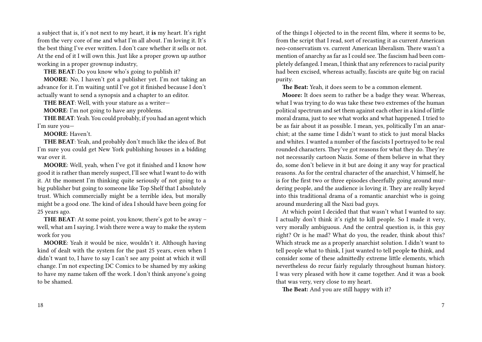a subject that is, it's not next to my heart, it **is** my heart. It's right from the very core of me and what I'm all about. I'm loving it. It's the best thing I've ever written. I don't care whether it sells or not. At the end of it I will own this. Just like a proper grown up author working in a proper grownup industry,

**THE BEAT**: Do you know who's going to publish it?

**MOORE**: No, I haven't got a publisher yet. I'm not taking an advance for it. I'm waiting until I've got it finished because I don't actually want to send a synopsis and a chapter to an editor.

**THE BEAT**: Well, with your stature as a writer—

**MOORE**: I'm not going to have any problems.

**THE BEAT**: Yeah. You could probably, if you had an agent which I'm sure you—

**MOORE**: Haven't.

**THE BEAT**: Yeah, and probably don't much like the idea of. But I'm sure you could get New York publishing houses in a bidding war over it.

**MOORE**: Well, yeah, when I've got it finished and I know how good it is rather than merely suspect, I'll see what I want to do with it. At the moment I'm thinking quite seriously of not going to a big publisher but going to someone like Top Shelf that I absolutely trust. Which commercially might be a terrible idea, but morally might be a good one. The kind of idea I should have been going for 25 years ago.

**THE BEAT**: At some point, you know, there's got to be away – well, what am I saying. I wish there were a way to make the system work for you

**MOORE**: Yeah it would be nice, wouldn't it. Although having kind of dealt with the system for the past 25 years, even when I didn't want to, I have to say I can't see any point at which it will change. I'm not expecting DC Comics to be shamed by my asking to have my name taken off the work. I don't think anyone's going to be shamed.

18

of the things I objected to in the recent film, where it seems to be, from the script that I read, sort of recasting it as current American neo-conservatism vs. current American liberalism. There wasn't a mention of anarchy as far as I could see. The fascism had been completely defanged. I mean, I think that any references to racial purity had been excised, whereas actually, fascists are quite big on racial purity.

**The Beat:** Yeah, it does seem to be a common element.

**Moore:** It does seem to rather be a badge they wear. Whereas, what I was trying to do was take these two extremes of the human political spectrum and set them against each other in a kind of little moral drama, just to see what works and what happened. I tried to be as fair about it as possible. I mean, yes, politically I'm an anarchist; at the same time I didn't want to stick to just moral blacks and whites. I wanted a number of the fascists I portrayed to be real rounded characters. They've got reasons for what they do. They're not necessarily cartoon Nazis. Some of them believe in what they do, some don't believe in it but are doing it any way for practical reasons. As for the central character of the anarchist, V himself, he is for the first two or three episodes cheerfully going around murdering people, and the audience is loving it. They are really keyed into this traditional drama of a romantic anarchist who is going around murdering all the Nazi bad guys.

At which point I decided that that wasn't what I wanted to say. I actually don't think it's right to kill people. So I made it very, very morally ambiguous. And the central question is, is this guy right? Or is he mad? What do you, the reader, think about this? Which struck me as a properly anarchist solution. I didn't want to tell people what to think, I just wanted to tell people **to** think, and consider some of these admittedly extreme little elements, which nevertheless do recur fairly regularly throughout human history. I was very pleased with how it came together. And it was a book that was very, very close to my heart.

**The Beat:** And you are still happy with it?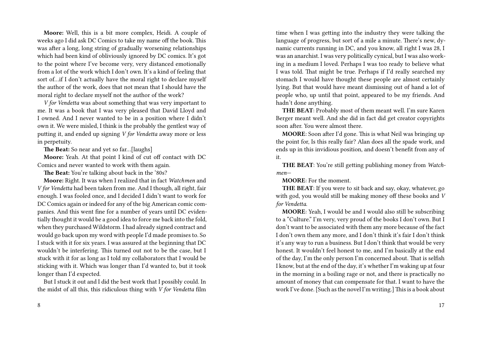**Moore:** Well, this is a bit more complex, Heidi. A couple of weeks ago I did ask DC Comics to take my name off the book. This was after a long, long string of gradually worsening relationships which had been kind of obliviously ignored by DC comics. It's got to the point where I've become very, very distanced emotionally from a lot of the work which I don't own. It's a kind of feeling that sort of…if I don't actually have the moral right to declare myself the author of the work, does that not mean that I should have the moral right to declare myself not the author of the work?

*V for Vendetta* was about something that was very important to me. It was a book that I was very pleased that David Lloyd and I owned. And I never wanted to be in a position where I didn't own it. We were misled, I think is the probably the gentlest way of putting it, and ended up signing *V for Vendetta* away more or less in perpetuity.

**The Beat:** So near and yet so far…[laughs]

**Moore:** Yeah. At that point I kind of cut off contact with DC Comics and never wanted to work with them again.

**The Beat:** You're talking about back in the '80s?

**Moore:** Right. It was when I realized that in fact *Watchmen* and *V for Vendetta* had been taken from me. And I though, all right, fair enough. I was fooled once, and I decided I didn't want to work for DC Comics again or indeed for any of the big American comic companies. And this went fine for a number of years until DC evidentially thought it would be a good idea to force me back into the fold, when they purchased Wildstorm. I had already signed contract and would go back upon my word with people I'd made promises to. So I stuck with it for six years. I was assured at the beginning that DC wouldn't be interfering. This turned out not to be the case, but I stuck with it for as long as I told my collaborators that I would be sticking with it. Which was longer than I'd wanted to, but it took longer than I'd expected.

But I stuck it out and I did the best work that I possibly could. In the midst of all this, this ridiculous thing with *V for Vendetta* film

time when I was getting into the industry they were talking the language of progress, but sort of a mile a minute. There's new, dynamic currents running in DC, and you know, all right I was 28, I was an anarchist. I was very politically cynical, but I was also working in a medium I loved. Perhaps I was too ready to believe what I was told. That might be true. Perhaps if I'd really searched my stomach I would have thought these people are almost certainly lying. But that would have meant dismissing out of hand a lot of people who, up until that point, appeared to be my friends. And hadn't done anything.

**THE BEAT**: Probably most of them meant well. I'm sure Karen Berger meant well. And she did in fact did get creator copyrights soon after. You were almost there.

**MOORE**: Soon after I'd gone. This is what Neil was bringing up the point for, Is this really fair? Alan does all the spade work, and ends up in this invidious position, and doesn't benefit from any of it.

**THE BEAT**: You're still getting publishing money from *Watchmen*—

**MOORE**: For the moment.

**THE BEAT**: If you were to sit back and say, okay, whatever, go with god, you would still be making money off these books and *V for Vendetta*.

**MOORE**: Yeah, I would be and I would also still be subscribing to a "Culture." I'm very, very proud of the books I don't own. But I don't want to be associated with them any more because of the fact I don't own them any more, and I don't think it's fair I don't think it's any way to run a business. But I don't think that would be very honest. It wouldn't feel honest to me, and I'm basically at the end of the day, I'm the only person I'm concerned about. That is selfish I know, but at the end of the day, it's whether I'm waking up at four in the morning in a boiling rage or not, and there is practically no amount of money that can compensate for that. I want to have the work I've done. [Such as the novel I'm writing.] This is a book about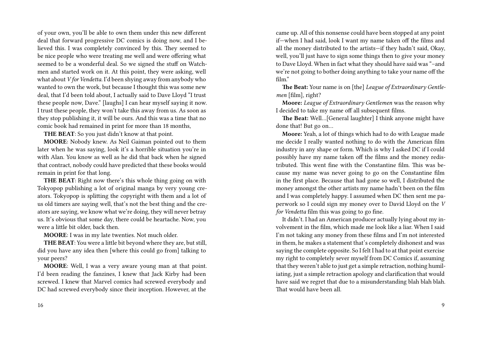of your own, you'll be able to own them under this new different deal that forward progressive DC comics is doing now, and I believed this. I was completely convinced by this. They seemed to be nice people who were treating me well and were offering what seemed to be a wonderful deal. So we signed the stuff on Watchmen and started work on it. At this point, they were asking, well what about *V for Vendetta*. I'd been shying away from anybody who wanted to own the work, but because I thought this was some new deal, that I'd been told about, I actually said to Dave Lloyd "I trust these people now, Dave." [laughs] I can hear myself saying it now. I trust these people, they won't take this away from us. As soon as they stop publishing it, it will be ours. And this was a time that no comic book had remained in print for more than 18 months,

**THE BEAT**: So you just didn't know at that point.

**MOORE**: Nobody knew. As Neil Gaiman pointed out to them later when he was saying, look it's a horrible situation you're in with Alan. You know as well as he did that back when he signed that contract, nobody could have predicted that these books would remain in print for that long.

**THE BEAT**: Right now there's this whole thing going on with Tokyopop publishing a lot of original manga by very young creators. Tokyopop is splitting the copyright with them and a lot of us old timers are saying well, that's not the best thing and the creators are saying, we know what we're doing, they will never betray us. It's obvious that some day, there could be heartache. Now, you were a little bit older, back then.

**MOORE**: I was in my late twenties. Not much older.

**THE BEAT**: You were a little bit beyond where they are, but still, did you have any idea then [where this could go from] talking to your peers?

**MOORE**: Well, I was a very aware young man at that point. I'd been reading the fanzines, I knew that Jack Kirby had been screwed. I knew that Marvel comics had screwed everybody and DC had screwed everybody since their inception. However, at the came up. All of this nonsense could have been stopped at any point if—when I had said, look I want my name taken off the films and all the money distributed to the artists—if they hadn't said, Okay, well, you'll just have to sign some things then to give your money to Dave Lloyd. When in fact what they should have said was "–and we're not going to bother doing anything to take your name off the film."

**The Beat:** Your name is on [the] *League of Extraordinary Gentlemen* [film], right?

**Moore:** *League of Extraordinary Gentlemen* was the reason why I decided to take my name off all subsequent films.

**The Beat:** Well…[General laughter] I think anyone might have done that! But go on…

**Moore:** Yeah, a lot of things which had to do with League made me decide I really wanted nothing to do with the American film industry in any shape or form. Which is why I asked DC if I could possibly have my name taken off the films and the money redistributed. This went fine with the Constantine film. This was because my name was never going to go on the Constantine film in the first place. Because that had gone so well, I distributed the money amongst the other artists my name hadn't been on the film and I was completely happy. I assumed when DC then sent me paperwork so I could sign my money over to David Lloyd on the *V for Vendetta* film this was going to go fine.

It didn't. I had an American producer actually lying about my involvement in the film, which made me look like a liar. When I said I'm not taking any money from these films and I'm not interested in them, he makes a statement that's completely dishonest and was saying the complete opposite. So I felt I had to at that point exercise my right to completely sever myself from DC Comics if, assuming that they weren't able to just get a simple retraction, nothing humiliating, just a simple retraction apology and clarification that would have said we regret that due to a misunderstanding blah blah blah. That would have been all.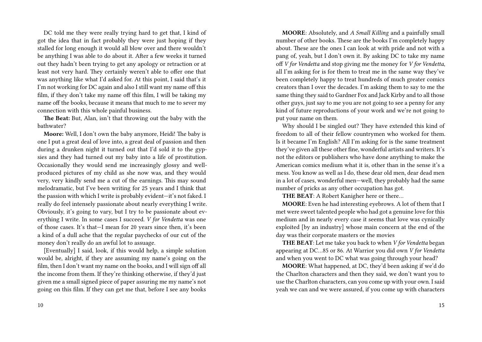DC told me they were really trying hard to get that, I kind of got the idea that in fact probably they were just hoping if they stalled for long enough it would all blow over and there wouldn't be anything I was able to do about it. After a few weeks it turned out they hadn't been trying to get any apology or retraction or at least not very hard. They certainly weren't able to offer one that was anything like what I'd asked for. At this point, I said that's it I'm not working for DC again and also I still want my name off this film, if they don't take my name off this film, I will be taking my name off the books, because it means that much to me to sever my connection with this whole painful business.

**The Beat:** But, Alan, isn't that throwing out the baby with the bathwater?

**Moore:** Well, I don't own the baby anymore, Heidi! The baby is one I put a great deal of love into, a great deal of passion and then during a drunken night it turned out that I'd sold it to the gypsies and they had turned out my baby into a life of prostitution. Occasionally they would send me increasingly glossy and wellproduced pictures of my child as she now was, and they would very, very kindly send me a cut of the earnings. This may sound melodramatic, but I've been writing for 25 years and I think that the passion with which I write is probably evident—it's not faked. I really do feel intensely passionate about nearly everything I write. Obviously, it's going to vary, but I try to be passionate about everything I write. In some cases I succeed. *V for Vendetta* was one of those cases. It's that—I mean for 20 years since then, it's been a kind of a dull ache that the regular paychecks of our cut of the money don't really do an awful lot to assuage.

[Eventually] I said, look, if this would help, a simple solution would be, alright, if they are assuming my name's going on the film, then I don't want my name on the books, and I will sign off all the income from them. If they're thinking otherwise, if they'd just given me a small signed piece of paper assuring me my name's not going on this film. If they can get me that, before I see any books

**MOORE**: Absolutely, and *A Small Killing* and a painfully small number of other books. These are the books I'm completely happy about. These are the ones I can look at with pride and not with a pang of, yeah, but I don't own it. By asking DC to take my name off *V for Vendetta* and stop giving me the money for *V for Vendetta*, all I'm asking for is for them to treat me in the same way they've been completely happy to treat hundreds of much greater comics creators than I over the decades. I'm asking them to say to me the same thing they said to Gardner Fox and Jack Kirby and to all those other guys, just say to me you are not going to see a penny for any kind of future reproductions of your work and we're not going to put your name on them.

Why should I be singled out? They have extended this kind of freedom to all of their fellow countrymen who worked for them. Is it became I'm English? All I'm asking for is the same treatment they've given all these other fine, wonderful artists and writers. It's not the editors or publishers who have done anything to make the American comics medium what it is, other than in the sense it's a mess. You know as well as I do, these dear old men, dear dead men in a lot of cases, wonderful men—well, they probably had the same number of pricks as any other occupation has got.

**THE BEAT**: A Robert Kanigher here or there…

**MOORE**: Even he had interesting eyebrows. A lot of them that I met were sweet talented people who had got a genuine love for this medium and in nearly every case it seems that love was cynically exploited [by an industry] whose main concern at the end of the day was their corporate masters or the movies

**THE BEAT**: Let me take you back to when *V for Vendetta* began appearing at DC…85 or 86. At Warrior you did own *V for Vendetta* and when you went to DC what was going through your head?

**MOORE**: What happened, at DC, they'd been asking if we'd do the Charlton characters and then they said, we don't want you to use the Charlton characters, can you come up with your own. I said yeah we can and we were assured, if you come up with characters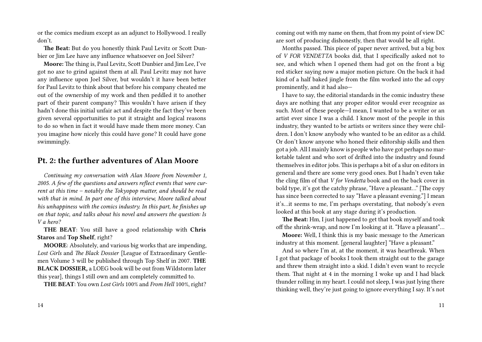or the comics medium except as an adjunct to Hollywood. I really don't.

**The Beat:** But do you honestly think Paul Levitz or Scott Dunbier or Jim Lee have any influence whatsoever on Joel Silver?

**Moore:** The thing is, Paul Levitz, Scott Dunbier and Jim Lee, I've got no axe to grind against them at all. Paul Levitz may not have any influence upon Joel Silver, but wouldn't it have been better for Paul Levitz to think about that before his company cheated me out of the ownership of my work and then peddled it to another part of their parent company? This wouldn't have arisen if they hadn't done this initial unfair act and despite the fact they've been given several opportunities to put it straight and logical reasons to do so when in fact it would have made them more money. Can you imagine how nicely this could have gone? It could have gone swimmingly.

## **Pt. 2: the further adventures of Alan Moore**

*Continuing my conversation with Alan Moore from November 1, 2005. A few of the questions and answers reflect events that were current at this time – notably the Tokyopop matter, and should be read with that in mind. In part one of this interview, Moore talked about his unhappiness with the comics industry. In this part, he finishes up on that topic, and talks about his novel and answers the question: Is V a hero?*

**THE BEAT**: You still have a good relationship with **Chris Staros** and **Top Shelf**, right?

**MOORE**: Absolutely, and various big works that are impending, *Lost Girls* and *The Black Dossier* [League of Extraordinary Gentlemen Volume 3 will be published through Top Shelf in 2007. **THE BLACK DOSSIER,** a LOEG book will be out from Wildstorm later this year], things I still own and am completely committed to.

**THE BEAT**: You own *Lost Girls* 100% and *From Hell* 100%, right?

coming out with my name on them, that from my point of view DC are sort of producing dishonestly, then that would be all right.

Months passed. This piece of paper never arrived, but a big box of *V FOR VENDETTA* books did, that I specifically asked not to see, and which when I opened them had got on the front a big red sticker saying now a major motion picture. On the back it had kind of a half baked jingle from the film worked into the ad copy prominently, and it had also—

I have to say, the editorial standards in the comic industry these days are nothing that any proper editor would ever recognize as such. Most of these people—I mean, I wanted to be a writer or an artist ever since I was a child. I know most of the people in this industry, they wanted to be artists or writers since they were children. I don't know anybody who wanted to be an editor as a child. Or don't know anyone who honed their editorship skills and then got a job. All I mainly know is people who have got perhaps no marketable talent and who sort of drifted into the industry and found themselves in editor jobs. This is perhaps a bit of a slur on editors in general and there are some very good ones. But I hadn't even take the cling film of that *V for Vendetta* book and on the back cover in bold type, it's got the catchy phrase, "Have a pleasant…" [The copy has since been corrected to say "Have a pleasant evening."] I mean it's…it seems to me, I'm perhaps overstating, that nobody's even looked at this book at any stage during it's production.

**The Beat:** Hm, I just happened to get that book myself and took off the shrink-wrap, and now I'm looking at it. "Have a pleasant"…

**Moore:** Well, I think this is my basic message to the American industry at this moment. [general laughter] "Have a pleasant."

And so where I'm at, at the moment, it was heartbreak. When I got that package of books I took them straight out to the garage and threw them straight into a skid. I didn't even want to recycle them. That night at 4 in the morning I woke up and I had black thunder rolling in my heart. I could not sleep, I was just lying there thinking well, they're just going to ignore everything I say. It's not